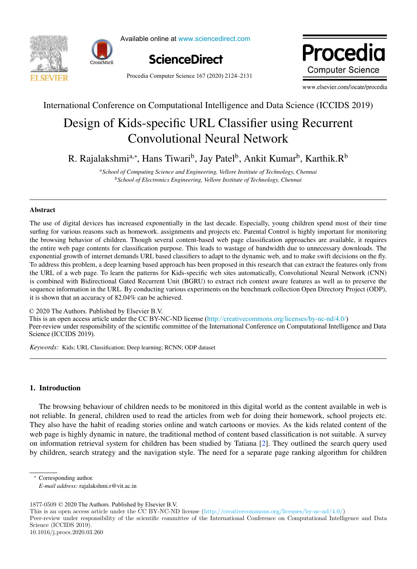



Available online at www.sciencedirect.com



Procedia Computer Science 167 (2020) 2124–2131

Procedia **Computer Science** 

www.elsevier.com/locate/procedia

## International Conference on Computational Intelligence and Data Science (ICCIDS 2019)

# Design of Kids-specific URL Classifier using Recurrent Convolutional Neural Network

R. Rajalakshmi<sup>a,∗</sup>, Hans Tiwari<sup>b</sup>, Jay Patel<sup>b</sup>, Ankit Kumar<sup>b</sup>, Karthik.R<sup>b</sup>

*<sup>a</sup>School of Computing Science and Engineering, Vellore Institute of Technology, Chennai <sup>b</sup>School of Electronics Engineering, Vellore Institute of Technology, Chennai*

## Abstract

The use of digital devices has increased exponentially in the last decade. Especially, young children spend most of their time surfing for various reasons such as homework. assignments and projects etc. Parental Control is highly important for monitoring the browsing behavior of children. Though several content-based web page classification approaches are available, it requires the entire web page contents for classification purpose. This leads to wastage of bandwidth due to unnecessary downloads. The exponential growth of internet demands URL based classifiers to adapt to the dynamic web, and to make swift decisions on the fly. To address this problem, a deep learning based approach has been proposed in this research that can extract the features only from the URL of a web page. To learn the patterns for Kids-specific web sites automatically, Convolutional Neural Network (CNN) is combined with Bidirectional Gated Recurrent Unit (BGRU) to extract rich context aware features as well as to preserve the sequence information in the URL. By conducting various experiments on the benchmark collection Open Directory Project (ODP), it is shown that an accuracy of 82.04% can be achieved.

© 2020 The Authors. Published by Elsevier B.V.

This is an open access article under the CC BY-NC-ND license (http://creativecommons.org/licenses/by-nc-nd/4.0/) Peer-review under responsibility of the scientific committee of the International Conference on Computational Intelligence and Data Science (ICCIDS 2019).

*Keywords:* Kids; URL Classification; Deep learning; RCNN; ODP dataset

## 1. Introduction

The browsing behaviour of children needs to be monitored in this digital world as the content available in web is not reliable. In general, children used to read the articles from web for doing their homework, school projects etc. They also have the habit of reading stories online and watch cartoons or movies. As the kids related content of the web page is highly dynamic in nature, the traditional method of content based classification is not suitable. A survey on information retrieval system for children has been studied by Tatiana [2]. They outlined the search query used by children, search strategy and the navigation style. The need for a separate page ranking algorithm for children

Corresponding author. *E-mail address:* rajalakshmi.r@vit.ac.in

1877-0509 © 2020 The Authors. Published by Elsevier B.V.

This is an open access article under the CC BY-NC-ND license (http://creativecommons.org/licenses/by-nc-nd/4.0/)

Peer-review under responsibility of the scientific committee of the International Conference on Computational Intelligence and Data Science (ICCIDS 2019).

10.1016/j.procs.2020.03.260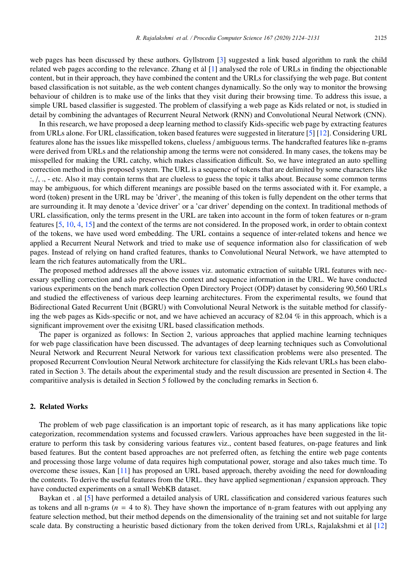web pages has been discussed by these authors. Gyllstrom [3] suggested a link based algorithm to rank the child related web pages according to the relevance. Zhang et al [ ˙ 1] analysed the role of URLs in finding the objectionable content, but in their approach, they have combined the content and the URLs for classifying the web page. But content based classification is not suitable, as the web content changes dynamically. So the only way to monitor the browsing behaviour of children is to make use of the links that they visit during their browsing time. To address this issue, a simple URL based classifier is suggested. The problem of classifying a web page as Kids related or not, is studied in detail by combining the advantages of Recurrent Neural Network (RNN) and Convolutional Neural Network (CNN).

In this research, we have proposed a deep learning method to classify Kids-specific web page by extracting features from URLs alone. For URL classification, token based features were suggested in literature [5] [12]. Considering URL features alone has the issues like misspelled tokens, clueless / ambiguous terms. The handcrafted features like n-grams were derived from URLs and the relationship among the terms were not considered. In many cases, the tokens may be misspelled for making the URL catchy, which makes classification difficult. So, we have integrated an auto spelling correction method in this proposed system. The URL is a sequence of tokens that are delimited by some characters like  $\therefore$ ,  $\ldots$  - etc. Also it may contain terms that are clueless to guess the topic it talks about. Because some common terms may be ambiguous, for which different meanings are possible based on the terms associated with it. For example, a word (token) present in the URL may be 'driver', the meaning of this token is fully dependent on the other terms that are surrounding it. It may denote a 'device driver' or a 'car driver' depending on the context. In traditional methods of URL classification, only the terms present in the URL are taken into account in the form of token features or n-gram features [5, 10, 4, 15] and the context of the terms are not considered. In the proposed work, in order to obtain context of the tokens, we have used word embedding. The URL contains a sequence of inter-related tokens and hence we applied a Recurrent Neural Network and tried to make use of sequence information also for classification of web pages. Instead of relying on hand crafted features, thanks to Convolutional Neural Network, we have attempted to learn the rich features automatically from the URL.

The proposed method addresses all the above issues viz. automatic extraction of suitable URL features with necessary spelling correction and aslo preserves the context and sequence information in the URL. We have conducted various experiments on the bench mark collection Open Directory Project (ODP) dataset by considering 90,560 URLs and studied the effectiveness of various deep learning architectures. From the experimental results, we found that Bidirectional Gated Recurrent Unit (BGRU) with Convolutional Neural Network is the suitable method for classifying the web pages as Kids-specific or not, and we have achieved an accuracy of 82.04 % in this approach, which is a significant improvement over the exisitng URL based classification methods.

The paper is organized as follows: In Section 2, various approaches that applied machine learning techniques for web page classification have been discussed. The advantages of deep learning techniques such as Convolutional Neural Network and Recurrent Neural Network for various text classification problems were also presented. The proposed Recurrent Convloution Neural Network architecture for classifying the Kids relevant URLs has been elaborated in Section 3. The details about the experimental study and the result discussion are presented in Section 4. The comparitiive analysis is detailed in Section 5 followed by the concluding remarks in Section 6.

## 2. Related Works

The problem of web page classification is an important topic of research, as it has many applications like topic categorization, recommendation systems and focussed crawlers. Various approaches have been suggested in the literature to perform this task by considering various features viz., content based features, on-page features and link based features. But the content based approaches are not preferred often, as fetching the entire web page contents and processing those large volume of data requires high computational power, storage and also takes much time. To overcome these issues, Kan [11] has proposed an URL based approach, thereby avoiding the need for downloading the contents. To derive the useful features from the URL. they have applied segmentionan / expansion approach. They have conducted experiments on a small WebKB dataset.

Baykan et . al [5] have performed a detailed analysis of URL classification and considered various features such as tokens and all n-grams ( $n = 4$  to 8). They have shown the importance of n-gram features with out applying any feature selection method, but their method depends on the dimensionality of the training set and not suitable for large scale data. By constructing a heuristic based dictionary from the token derived from URLs, Rajalakshmi et al [12]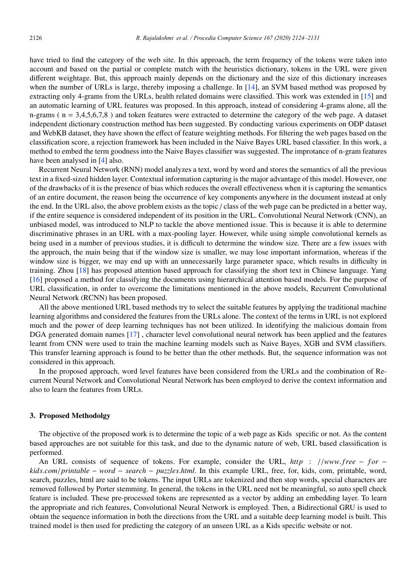have tried to find the category of the web site. In this approach, the term frequency of the tokens were taken into account and based on the partial or complete match with the heuristics dictionary, tokens in the URL were given different weightage. But, this approach mainly depends on the dictionary and the size of this dictionary increases when the number of URLs is large, thereby imposing a challenge. In [14], an SVM based method was proposed by extracting only 4-grams from the URLs, health related domains were classified. This work was extended in [15] and an automatic learning of URL features was proposed. In this approach, instead of considering 4-grams alone, all the n-grams ( $n = 3,4,5,6,7,8$ ) and token features were extracted to determine the category of the web page. A dataset independent dictionary construction method has been suggested. By conducting various experiments on ODP dataset and WebKB dataset, they have shown the effect of feature weighting methods. For filtering the web pages based on the classification score, a rejection framework has been included in the Naive Bayes URL based classifier. In this work, a method to embed the term goodness into the Naive Bayes classifier was suggested. The improtance of n-gram features have been analysed in [4] also.

Recurrent Neural Network (RNN) model analyzes a text, word by word and stores the semantics of all the previous text in a fixed-sized hidden layer. Contextual information capturing is the major advantage of this model. However, one of the drawbacks of it is the presence of bias which reduces the overall effectiveness when it is capturing the semantics of an entire document, the reason being the occurrence of key components anywhere in the document instead at only the end. In the URL also, the above problem exists as the topic / class of the web page can be predicted in a better way, if the entire sequence is considered independent of its position in the URL. Convolutional Neural Network (CNN), an unbiased model, was introduced to NLP to tackle the above mentioned issue. This is because it is able to determine discriminative phrases in an URL with a max-pooling layer. However, while using simple convolutional kernels as being used in a number of previous studies, it is difficult to determine the window size. There are a few issues with the approach, the main being that if the window size is smaller, we may lose important information, whereas if the window size is bigger, we may end up with an unnecessarily large parameter space, which results in difficulty in training. Zhou [18] has proposed attention based approach for classifying the short text in Chinese language. Yang [16] proposed a method for classifying the documents using hierarchical attention based models. For the purpose of URL classification, in order to overcome the limitations mentioned in the above models, Recurrent Convolutional Neural Network (RCNN) has been proposed.

All the above mentioned URL based methods try to select the suitable features by applying the traditional machine learning algorithms and considered the features from the URLs alone. The context of the terms in URL is not explored much and the power of deep learning techniques has not been utilized. In identifying the malicious domain from DGA generated domain names [17] , character level convolutional neural network has been applied and the features learnt from CNN were used to train the machine learning models such as Naive Bayes, XGB and SVM classifiers. This transfer learning approach is found to be better than the other methods. But, the sequence information was not considered in this approach.

In the proposed approach, word level features have been considered from the URLs and the combination of Recurrent Neural Network and Convolutional Neural Network has been employed to derive the context information and also to learn the features from URLs.

## 3. Proposed Methodolgy

The objective of the proposed work is to determine the topic of a web page as Kids specific or not. As the content based approaches are not suitable for this task, and due to the dynamic nature of web, URL based classification is performed.

An URL consists of sequence of tokens. For example, consider the URL, *http* : //*www*. *f ree* − *f or* − *kids*.*com*/*printable* − *word* − *search* − *puzzles*.*html*. In this example URL, free, for, kids, com, printable, word, search, puzzles, html are said to be tokens. The input URLs are tokenized and then stop words, special characters are removed followed by Porter stemming. In general, the tokens in the URL need not be meaningful, so auto spell check feature is included. These pre-processed tokens are represented as a vector by adding an embedding layer. To learn the appropriate and rich features, Convolutional Neural Network is employed. Then, a Bidirectional GRU is used to obtain the sequence information in both the directions from the URL and a suitable deep learning model is built. This trained model is then used for predicting the category of an unseen URL as a Kids specific website or not.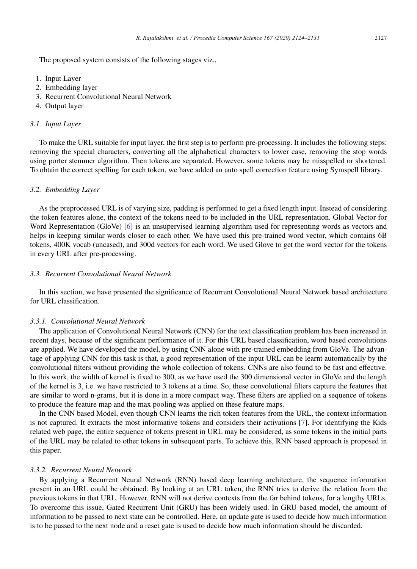The proposed system consists of the following stages viz.,

- 1. Input Layer
- 2. Embedding layer
- 3. Recurrent Convolutional Neural Network
- 4. Output layer

#### *3.1. Input Layer*

To make the URL suitable for input layer, the first step is to perform pre-processing. It includes the following steps: removing the special characters, converting all the alphabetical characters to lower case, removing the stop words using porter stemmer algorithm. Then tokens are separated. However, some tokens may be misspelled or shortened. To obtain the correct spelling for each token, we have added an auto spell correction feature using Symspell library.

## *3.2. Embedding Layer*

As the preprocessed URL is of varying size, padding is performed to get a fixed length input. Instead of considering the token features alone, the context of the tokens need to be included in the URL representation. Global Vector for Word Representation (GloVe) [6] is an unsupervised learning algorithm used for representing words as vectors and helps in keeping similar words closer to each other. We have used this pre-trained word vector, which contains 6B tokens, 400K vocab (uncased), and 300d vectors for each word. We used Glove to get the word vector for the tokens in every URL after pre-processing.

## *3.3. Recurrent Convolutional Neural Network*

In this section, we have presented the significance of Recurrent Convolutional Neural Network based architecture for URL classification.

## *3.3.1. Convolutional Neural Network*

The application of Convolutional Neural Network (CNN) for the text classification problem has been increased in recent days, because of the significant performance of it. For this URL based classification, word based convolutions are applied. We have developed the model, by using CNN alone with pre-trained embedding from GloVe. The advantage of applying CNN for this task is that, a good representation of the input URL can be learnt automatically by the convolutional filters without providing the whole collection of tokens. CNNs are also found to be fast and effective. In this work, the width of kernel is fixed to 300, as we have used the 300 dimensional vector in GloVe and the length of the kernel is 3, i.e. we have restricted to 3 tokens at a time. So, these convolutional filters capture the features that are similar to word n-grams, but it is done in a more compact way. These filters are applied on a sequence of tokens to produce the feature map and the max pooling was applied on these feature maps.

In the CNN based Model, even though CNN learns the rich token features from the URL, the context information is not captured. It extracts the most informative tokens and considers their activations [7]. For identifying the Kids related web page, the entire sequence of tokens present in URL may be considered, as some tokens in the initial parts of the URL may be related to other tokens in subsequent parts. To achieve this, RNN based approach is proposed in this paper.

#### *3.3.2. Recurrent Neural Network*

By applying a Recurrent Neural Network (RNN) based deep learning architecture, the sequence information present in an URL could be obtained. By looking at an URL token, the RNN tries to derive the relation from the previous tokens in that URL. However, RNN will not derive contexts from the far behind tokens, for a lengthy URLs. To overcome this issue, Gated Recurrent Unit (GRU) has been widely used. In GRU based model, the amount of information to be passed to next state can be controlled. Here, an update gate is used to decide how much information is to be passed to the next node and a reset gate is used to decide how much information should be discarded.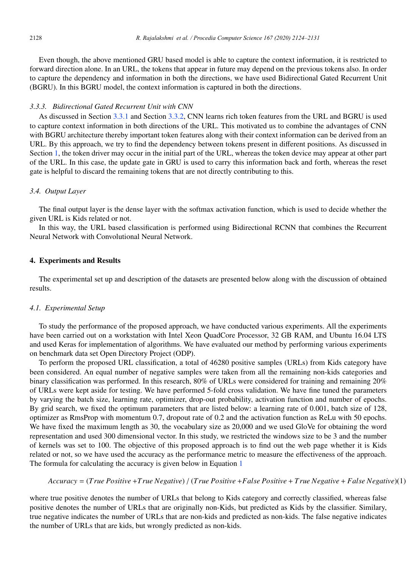Even though, the above mentioned GRU based model is able to capture the context information, it is restricted to forward direction alone. In an URL, the tokens that appear in future may depend on the previous tokens also. In order to capture the dependency and information in both the directions, we have used Bidirectional Gated Recurrent Unit (BGRU). In this BGRU model, the context information is captured in both the directions.

## *3.3.3. Bidirectional Gated Recurrent Unit with CNN*

As discussed in Section 3.3.1 and Section 3.3.2, CNN learns rich token features from the URL and BGRU is used to capture context information in both directions of the URL. This motivated us to combine the advantages of CNN with BGRU architecture thereby important token features along with their context information can be derived from an URL. By this approach, we try to find the dependency between tokens present in different positions. As discussed in Section 1, the token driver may occur in the initial part of the URL, whereas the token device may appear at other part of the URL. In this case, the update gate in GRU is used to carry this information back and forth, whereas the reset gate is helpful to discard the remaining tokens that are not directly contributing to this.

## *3.4. Output Layer*

The final output layer is the dense layer with the softmax activation function, which is used to decide whether the given URL is Kids related or not.

In this way, the URL based classification is performed using Bidirectional RCNN that combines the Recurrent Neural Network with Convolutional Neural Network.

## 4. Experiments and Results

The experimental set up and description of the datasets are presented below along with the discussion of obtained results.

#### *4.1. Experimental Setup*

To study the performance of the proposed approach, we have conducted various experiments. All the experiments have been carried out on a workstation with Intel Xeon QuadCore Processor, 32 GB RAM, and Ubuntu 16.04 LTS and used Keras for implementation of algorithms. We have evaluated our method by performing various experiments on benchmark data set Open Directory Project (ODP).

To perform the proposed URL classification, a total of 46280 positive samples (URLs) from Kids category have been considered. An equal number of negative samples were taken from all the remaining non-kids categories and binary classification was performed. In this research, 80% of URLs were considered for training and remaining 20% of URLs were kept aside for testing. We have performed 5-fold cross validation. We have fine tuned the parameters by varying the batch size, learning rate, optimizer, drop-out probability, activation function and number of epochs. By grid search, we fixed the optimum parameters that are listed below: a learning rate of 0.001, batch size of 128, optimizer as RmsProp with momentum 0.7, dropout rate of 0.2 and the activation function as ReLu with 50 epochs. We have fixed the maximum length as 30, the vocabulary size as 20,000 and we used GloVe for obtaining the word representation and used 300 dimensional vector. In this study, we restricted the windows size to be 3 and the number of kernels was set to 100. The objective of this proposed approach is to find out the web page whether it is Kids related or not, so we have used the accuracy as the performance metric to measure the effectiveness of the approach. The formula for calculating the accuracy is given below in Equation 1

## *Accuracy* = (*True Positive* +*True Negative*) / (*True Positive* +*False Positive* + *True Negative* + *False Negative*)(1)

where true positive denotes the number of URLs that belong to Kids category and correctly classified, whereas false positive denotes the number of URLs that are originally non-Kids, but predicted as Kids by the classifier. Similary, true negative indicates the number of URLs that are non-kids and predicted as non-kids. The false negative indicates the number of URLs that are kids, but wrongly predicted as non-kids.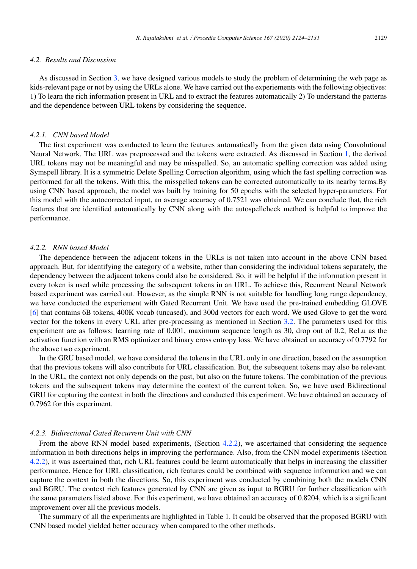## *4.2. Results and Discussion*

As discussed in Section 3, we have designed various models to study the problem of determining the web page as kids-relevant page or not by using the URLs alone. We have carried out the experiements with the following objectives: 1) To learn the rich information present in URL and to extract the features automatically 2) To understand the patterns and the dependence between URL tokens by considering the sequence.

#### *4.2.1. CNN based Model*

The first experiment was conducted to learn the features automatically from the given data using Convolutional Neural Network. The URL was preprocessed and the tokens were extracted. As discussed in Section 1, the derived URL tokens may not be meaningful and may be misspelled. So, an automatic spelling correction was added using Symspell library. It is a symmetric Delete Spelling Correction algorithm, using which the fast spelling correction was performed for all the tokens. With this, the misspelled tokens can be corrected automatically to its nearby terms.By using CNN based approach, the model was built by training for 50 epochs with the selected hyper-parameters. For this model with the autocorrected input, an average accuracy of 0.7521 was obtained. We can conclude that, the rich features that are identified automatically by CNN along with the autospellcheck method is helpful to improve the performance.

## *4.2.2. RNN based Model*

The dependence between the adjacent tokens in the URLs is not taken into account in the above CNN based approach. But, for identifying the category of a website, rather than considering the individual tokens separately, the dependency between the adjacent tokens could also be considered. So, it will be helpful if the information present in every token is used while processing the subsequent tokens in an URL. To achieve this, Recurrent Neural Network based experiment was carried out. However, as the simple RNN is not suitable for handling long range dependency, we have conducted the experiement with Gated Recurrent Unit. We have used the pre-trained embedding GLOVE [6] that contains 6B tokens, 400K vocab (uncased), and 300d vectors for each word. We used Glove to get the word vector for the tokens in every URL after pre-processing as mentioned in Section 3.2. The parameters used for this experiment are as follows: learning rate of 0.001, maximum sequence length as 30, drop out of 0.2, ReLu as the activation function with an RMS optimizer and binary cross entropy loss. We have obtained an accuracy of 0.7792 for the above two experiment.

In the GRU based model, we have considered the tokens in the URL only in one direction, based on the assumption that the previous tokens will also contribute for URL classification. But, the subsequent tokens may also be relevant. In the URL, the context not only depends on the past, but also on the future tokens. The combination of the previous tokens and the subsequent tokens may determine the context of the current token. So, we have used Bidirectional GRU for capturing the context in both the directions and conducted this experiment. We have obtained an accuracy of 0.7962 for this experiment.

## *4.2.3. Bidirectional Gated Recurrent Unit with CNN*

From the above RNN model based experiments, (Section 4.2.2), we ascertained that considering the sequence information in both directions helps in improving the performance. Also, from the CNN model experiments (Section 4.2.2), it was ascertained that, rich URL features could be learnt automatically that helps in increasing the classifier performance. Hence for URL classification, rich features could be combined with sequence information and we can capture the context in both the directions. So, this experiment was conducted by combining both the models CNN and BGRU. The context rich features generated by CNN are given as input to BGRU for further classification with the same parameters listed above. For this experiment, we have obtained an accuracy of 0.8204, which is a significant improvement over all the previous models.

The summary of all the experiments are highlighted in Table 1. It could be observed that the proposed BGRU with CNN based model yielded better accuracy when compared to the other methods.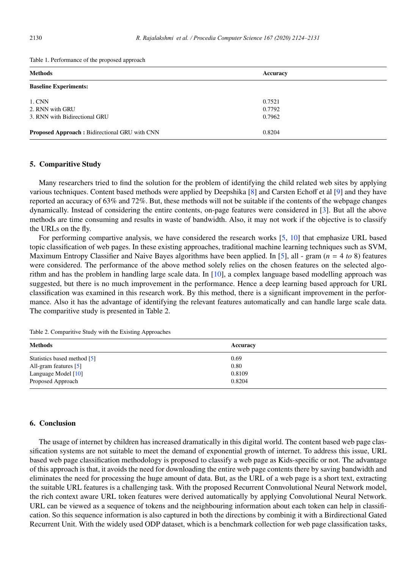Table 1. Performance of the proposed approach

| <b>Methods</b>                                | Accuracy |
|-----------------------------------------------|----------|
| <b>Baseline Experiments:</b>                  |          |
| 1. CNN                                        | 0.7521   |
| 2. RNN with GRU                               | 0.7792   |
| 3. RNN with Bidirectional GRU                 | 0.7962   |
| Proposed Approach: Bidirectional GRU with CNN | 0.8204   |

#### 5. Comparitive Study

Many researchers tried to find the solution for the problem of identifying the child related web sites by applying various techniques. Content based methods were applied by Deepshika [8] and Carsten Echoff et al [9] and they have reported an accuracy of 63% and 72%. But, these methods will not be suitable if the contents of the webpage changes dynamically. Instead of considering the entire contents, on-page features were considered in [3]. But all the above methods are time consuming and results in waste of bandwidth. Also, it may not work if the objective is to classify the URLs on the fly.

For performing compartive analysis, we have considered the research works [5, 10] that emphasize URL based topic classification of web pages. In these existing approaches, traditional machine learning techniques such as SVM, Maximum Entropy Classifier and Naive Bayes algorithms have been applied. In [5], all - gram (*n* = 4 *to* 8) features were considered. The performance of the above method solely relies on the chosen features on the selected algorithm and has the problem in handling large scale data. In [10], a complex language based modelling approach was suggested, but there is no much improvement in the performance. Hence a deep learning based approach for URL classification was examined in this research work. By this method, there is a significant improvement in the performance. Also it has the advantage of identifying the relevant features automatically and can handle large scale data. The comparitive study is presented in Table 2.

Table 2. Comparitive Study with the Existing Approaches

| Methods                     | Accuracy |
|-----------------------------|----------|
| Statistics based method [5] | 0.69     |
| All-gram features [5]       | 0.80     |
| Language Model [10]         | 0.8109   |
| Proposed Approach           | 0.8204   |

#### 6. Conclusion

The usage of internet by children has increased dramatically in this digital world. The content based web page classification systems are not suitable to meet the demand of exponential growth of internet. To address this issue, URL based web page classification methodology is proposed to classify a web page as Kids-specific or not. The advantage of this approach is that, it avoids the need for downloading the entire web page contents there by saving bandwidth and eliminates the need for processing the huge amount of data. But, as the URL of a web page is a short text, extracting the suitable URL features is a challenging task. With the proposed Recurrent Connvolutional Neural Network model, the rich context aware URL token features were derived automatically by applying Convolutional Neural Network. URL can be viewed as a sequence of tokens and the neighbouring information about each token can help in classification. So this sequence information is also captured in both the directions by combinig it with a Birdirectional Gated Recurrent Unit. With the widely used ODP dataset, which is a benchmark collection for web page classification tasks,